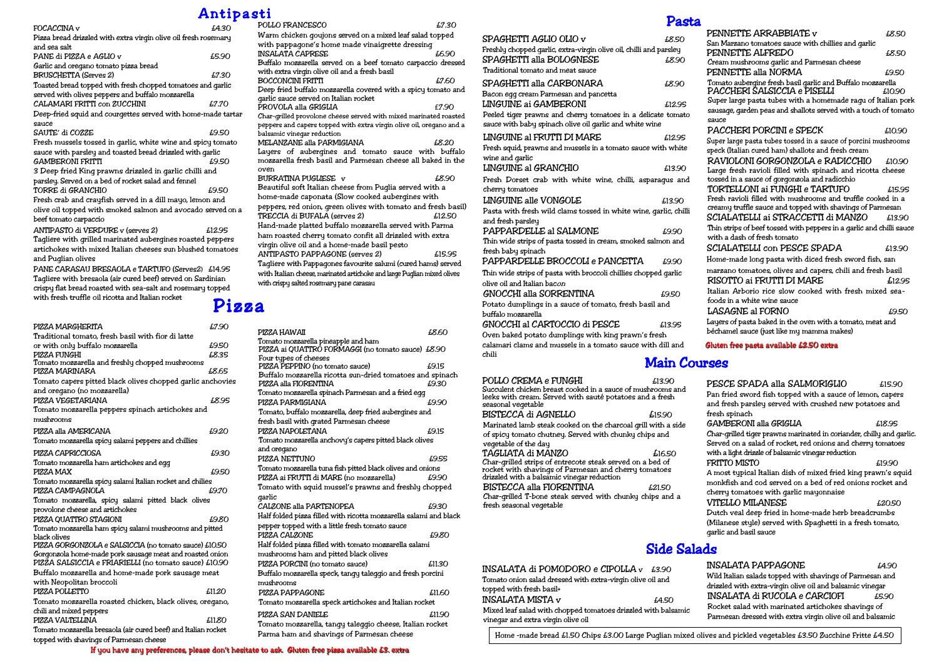# Pizza

## Side Salads

## Antipasti

| FOCACCINA v                                                     | £4.30  |  |
|-----------------------------------------------------------------|--------|--|
| Pizza bread drizzled with extra virgin olive oil fresh rosemary |        |  |
| and sea salt.                                                   |        |  |
| PANE di PIZZA e AGLIO v                                         | £5.90  |  |
| Garlic and oregano tomato pizza bread                           |        |  |
| <b>BRUSCHETTA (Serves 2)</b>                                    | £7.30  |  |
| Toasted bread topped with fresh chopped tomatoes and garlic     |        |  |
| served with olives peppers and buffalo mozzarella               |        |  |
| CALAMARI FRITTI con ZUCCHINI                                    | £7.70  |  |
| Deep-fried squid and courgettes served with home-made tartar    |        |  |
| sauce                                                           |        |  |
| SAUTE' di COZZE                                                 | £9.50  |  |
| Fresh mussels tossed in garlic, white wine and spicy tomato     |        |  |
| sauce with parsley and toasted bread drizzled with qarlic       |        |  |
| <b>GAMBERONI FRITTI</b>                                         | £9.50  |  |
| 3 Deep fried King prawns drizzled in garlic chilli and          |        |  |
| parsley. Served on a bed of rocket salad and fennel             |        |  |
| TORRE di GRANCHIO                                               | £9.50  |  |
| Fresh crab and crayfish served in a dill mayo, lemon and        |        |  |
| olive oil topped with smoked salmon and avocado served on a     |        |  |
| beef tomato carpaccio                                           |        |  |
| ANTIPASTO di VERDURE v (serves 2)                               | £12.95 |  |
| Tagliere with grilled marinated aubergines roasted peppers      |        |  |
| artichokes with mixed Italian cheeses sun blushed tomatoes      |        |  |
| and Puglian olives                                              |        |  |

PANE CARASAU BRESAOLA e TARTUFO (Serves2) £14.95 Tagliere with bresaola (air cured beef) served on Sardinian crispy flat bread roasted with sea-salt and rosemary topped with fresh truffle oil ricotta and Italian rocket

| PIZZA MARGHERITA                                               | £7.90  |
|----------------------------------------------------------------|--------|
| Traditional tomato, fresh basil with fior di latte             |        |
| or with only buffalo mozzarella                                | £9.50  |
| PIZZA FUNGHI                                                   | £8.35  |
| Tomato mozzarella and freshly chopped mushrooms                |        |
| PIZZA MARINARA                                                 | £8.65  |
| Tomato capers pitted black olives chopped garlic anchovies     |        |
| and oregano (no mozzarella)                                    |        |
| PIZZA VEGETARIANA                                              | £8.95  |
| Tomato mozzarella peppers spinach artichokes and               |        |
| mushrooms                                                      |        |
| PIZZA alla AMERICANA                                           | £9.20  |
| Tomato mozzarella spicy salami peppers and chillies            |        |
| PIZZA CAPRICCIOSA                                              | £9.30  |
| Tomato mozzarella ham artichokes and eqq                       |        |
| PIZZA MAX                                                      | £9.50  |
| Tomato mozzarella spicy salami Italian rocket and chilies      |        |
| PIZZA CAMPAGNOLA                                               | £9.70  |
| Tomato mozzarella, spicy salami pitted black olives            |        |
| provolone cheese and artichokes                                |        |
| PIZZA QUATTRO STAGIONI                                         | £9.80  |
| Tomato mozzarella ham spicy salami mushrooms and pitted        |        |
| black olives                                                   |        |
| PIZZA GORGONZOLA e SALSICCIA (no tomato sauce) £10.50          |        |
| Gorgonzola home-made pork sausage meat and roasted onion       |        |
| PIZZA SALSICCIA e FRIARIELLI (no tomato sauce) £10.90          |        |
| Buffalo mozzarella and home-made pork sausage meat             |        |
| with Neopolitan broccoli                                       |        |
| PIZZA POLLETTO                                                 | £11.20 |
| Tomato mozzarella roasted chicken, black olives, oregano,      |        |
| chili and mixed peppers                                        |        |
| PIZZA VALTELLINA                                               | £11.80 |
| Tomato mozzarella bresaola (air cured beef) and Italian rocket |        |

| POLLO FRANCESCO                                                                                        | £7.30  |
|--------------------------------------------------------------------------------------------------------|--------|
| Warm chicken qoujons served on a mixed leaf salad topped                                               |        |
| with pappagone's home made vinaigrette dressing                                                        |        |
| <b>INSALATA CAPRESE</b>                                                                                | £6.90  |
| Buffalo mozzarella served on a beef tomato carpaccio dressed                                           |        |
| with extra virgin olive oil and a fresh basil                                                          |        |
| <b>BOCCONCINI FRITTI</b>                                                                               | £7.60  |
| Deep fried buffalo mozzarella covered with a spicy tomato and<br>garlic sauce served on Italian rocket |        |
| PROVOLA alla GRIGLIA                                                                                   | f7.90  |
| Char-grilled provolone cheese served with mixed marinated roasted                                      |        |
| peppers and capers topped with extra virgin olive oil, oregano and a                                   |        |
| balsamic vinegar reduction                                                                             |        |
| MELANZANE alla PARMIGIANA                                                                              | £8.20  |
| Layers of aubergines and tomato sauce with buffalo                                                     |        |
| mozzarella fresh basil and Parmesan cheese all baked in the                                            |        |
| oven                                                                                                   |        |
| BURRATINA PUGLIESE v                                                                                   | £8.90  |
| Beautiful soft Italian cheese from Puglia served with a                                                |        |
| home-made caponata (Slow cooked aubergines with                                                        |        |
| peppers, red onion, green olives with tomato and fresh basil)                                          |        |
| TRECCIA di BUFALA (serves 2)                                                                           | £12.50 |
| Hand-made platted buffalo mozzarella served with Parma                                                 |        |
| ham roasted cherry tomato confit all drizzled with extra                                               |        |
| virgin olive oil and a home-made basil pesto                                                           |        |
| <b>ANTIPASTO PAPPAGONE (serves 2)</b>                                                                  | £15.95 |
| Taqliere with Pappagones favourite salumi (cured hams) served                                          |        |
| with Italian cheese, marinated artichoke and large Puglian mixed olives                                |        |
| with crispy salted rosemary pane carasau                                                               |        |
|                                                                                                        |        |

topped with shavings of Parmesan cheese

| PENNETTE ARRABBIATE v                                                                                       | £8.50  |
|-------------------------------------------------------------------------------------------------------------|--------|
| San Marzano tomatoes sauce with chillies and garlic                                                         |        |
| PENNETTE ALFREDO                                                                                            | £8.50  |
| Cream mushrooms garlic and Parmesan cheese                                                                  |        |
| PENNETTE alla NORMA                                                                                         | £9.50  |
| Tomato aubergine fresh basil garlic and Buffalo mozzarella                                                  |        |
| PACCHERI SALSICCIA e PISELLI                                                                                | £10.90 |
| Super large pasta tubes with a homemade ragu of Italian pork                                                |        |
| sausage, garden peas and shallots served with a touch of tomato                                             |        |
| sauce<br>PACCHERI PORCINI e SPECK                                                                           |        |
|                                                                                                             | £10.90 |
| Super large pasta tubes tossed in a sauce of porcini mushrooms                                              |        |
| speck (Italian cured ham) shallots and fresh cream                                                          |        |
| RAVIOLONI GORGONZOLA e RADICCHIO                                                                            | £10.90 |
| Large fresh ravioli filled with spinach and ricotta cheese<br>tossed in a sauce of gorgonzola and radicchio |        |
| TORTELLONI ai FUNGHI e TARTUFO                                                                              | £15.95 |
| Fresh ravioli filled with mushrooms and truffle cooked in a                                                 |        |
| creamy truffle sauce and topped with shavings of Parmesan                                                   |        |
| SCIALATELLI ai STRACCETTI di MANZO                                                                          | £13.90 |
| Thin strips of beef tossed with peppers in a garlic and chilli sauce                                        |        |
| with a dash of fresh tomato                                                                                 |        |
| SCIALATELLI con PESCE SPADA                                                                                 | £13.90 |
| Home-made long pasta with diced fresh sword fish, san                                                       |        |
| marzano tomatoes, olives and capers, chili and fresh basil                                                  |        |
| RISOTTO ai FRUTTI DI MARE                                                                                   | £12.95 |
| Italian Arborio rice slow cooked with fresh mixed sea-                                                      |        |
| foods in a white wine sauce                                                                                 |        |
| LASAGNE al FORNO                                                                                            | £9.50  |
| Layers of pasta baked in the oven with a tomato, meat and                                                   |        |
| béchamel sauce (just like my mamma makes)                                                                   |        |
| Gluten free pasta available £2.50 extra                                                                     |        |
|                                                                                                             |        |
| rses                                                                                                        |        |
| PESCE SPADA alla SALMORIGLIO                                                                                | £15.90 |
| Pan fried sword fish topped with a sauce of lemon, capers                                                   |        |
| and fresh parsley served with crushed new potatoes and                                                      |        |
| fresh spinach                                                                                               |        |

| PIZZA HAWAII                                                                       | £8.60  |
|------------------------------------------------------------------------------------|--------|
| Tomato mozzarella pineapple and ham                                                |        |
| PIZZA ai QUATTRO FORMAGGI (no tomato sauce) £8.90                                  |        |
| Four types of cheeses                                                              |        |
| PIZZA PEPPINO (no tomato sauce)                                                    | £9.15  |
| Buffalo mozzarella ricotta sun-dried tomatoes and spinach<br>PIZZA alla FIORENTINA | £9.30  |
| Tomato mozzarella spinach Parmesan and a fried eqq                                 |        |
| PIZZA PARMIGIANA                                                                   | £9.90  |
| Tomato, buffalo mozzarella, deep fried aubergines and                              |        |
| fresh basil with grated Parmesan cheese                                            |        |
| PIZZA NAPOLETANA                                                                   | £9.15  |
| Tomato mozzarella anchovy's capers pitted black olives                             |        |
| and oregano                                                                        |        |
| PIZZA NETTUNO                                                                      | £9.55  |
| Tomato mozzarella tuna fish pitted black olives and onions                         |        |
| PIZZA ai FRUTTI di MARE (no mozzarella)                                            | £9.90  |
| Tomato with squid mussel's prawns and freshly chopped                              |        |
| qarlic                                                                             |        |
| CALZONE alla PARTENOPEA                                                            | £9.30  |
| Half folded pizza filled with ricotta mozzarella salami and black                  |        |
| pepper topped with a little fresh tomato sauce                                     |        |
| PIZZA CALZONE                                                                      | £9.80  |
| Half folded pizza filled with tomato mozzarella salami                             |        |
| mushrooms ham and pitted black olives                                              |        |
| PIZZA PORCINI (no tomato sauce)                                                    | £11.30 |
| Buffalo mozzarella speck, tangy taleggio and fresh porcini                         |        |
| mushrooms                                                                          |        |
| PIZZA PAPPAGONE                                                                    | £11.60 |
| Tomato mozzarella speck artichokes and Italian rocket                              |        |
| PIZZA SAN DANIELE                                                                  | £11.90 |
| Tomato mozzarella, tangy taleggio cheese, Italian rocket                           |        |
| Parma ham and shavings of Parmesan cheese                                          |        |

FRITTO MISTO **E19.90** A most typical Italian dish of mixed fried king prawn's squid monkfish and cod served on a bed of red onions rocket and cherry tomatoes with garlic mayonnaise

 $VITELLO$  MILANESE  $£20.50$ Dutch veal deep fried in home-made herb breadcrumbs (Milanese style) served with Spaghetti in a fresh tomato, garlic and basil sauce

#### INSALATA PAPPAGONE  $\qquad \qquad \text{4.90}$ Wild Italian salads topped with shavings of Parmesan and drizzled with extra-virgin olive oil and balsamic vinegar INSALATA di RUCOLA e CARCIOFI £5.90 Rocket salad with marinated artichokes shavings of Parmesan dressed with extra virgin olive oil and balsamic

| POLLO CREMA e FUNGHI                                                           | £13.90 |
|--------------------------------------------------------------------------------|--------|
| Succulent chicken breast cooked in a sauce of mushrooms and                    |        |
| leeks with cream. Served with sauté potatoes and a fresh<br>seasonal vegetable |        |
| BISTECCA di AGNELLO                                                            | £15.90 |
| Marinated lamb steak cooked on the charcoal grill with a side                  |        |
| of spicy tomato chutney. Served with chunky chips and                          |        |
| vegetable of the day                                                           |        |
| TAGLIATA di MANZO                                                              | £16.50 |
| Char-grilled strips of entrecote steak served on a bed of                      |        |
| rocket with shavings of Parmesan and cherry tomatoes                           |        |
| drizzled with a balsamic vinegar reduction                                     |        |
| BISTECCA alla FIORENTINA                                                       | £21.50 |
| Char-grilled T-bone steak served with chunky chips and a                       |        |
| fresh seasonal vegetable                                                       |        |
|                                                                                |        |

| INSALATA di POMODORO e CIPOLLA $v$ £3.90                      |       |  |
|---------------------------------------------------------------|-------|--|
| Tomato onion salad dressed with extra-virgin olive oil and    |       |  |
| topped with fresh basil+                                      |       |  |
| <b>INSALATA MISTA v</b>                                       | £4.50 |  |
| Mixed leaf salad with chopped tomatoes drizzled with balsamic |       |  |
| vineqar and extra virgin olive oil                            |       |  |
|                                                               |       |  |

| SPAGHETTI AGLIO OLIO v                                             | £8.50             | S               |
|--------------------------------------------------------------------|-------------------|-----------------|
| Freshly chopped garlic, extra-virgin olive oil, chilli and parsley |                   | F               |
| SPAGHETTI alla BOLOGNESE                                           | £8.90             | $\epsilon$      |
| Traditional tomato and meat sauce                                  |                   | F               |
| SPAGHETTI alla CARBONARA                                           | £8.90             | I<br>I          |
| Bacon egg cream Parmesan and pancetta                              |                   |                 |
| LINGUINE ai GAMBERONI                                              | £12.95            | Ś               |
| Peeled tiger prawns and cherry tomatoes in a delicate tomato       |                   | s<br>s          |
| sauce with baby spinach olive oil qarlic and white wine            |                   | Į               |
| LINGUINE al FRUTTI DI MARE                                         | £12.95            | Ś               |
| Fresh squid, prawns and mussels in a tomato sauce with white       |                   | s               |
| wine and qarlic                                                    |                   | Í               |
| LINGUINE al GRANCHIO                                               | £13.90            | I               |
| Fresh Dorset crab with white wine, chilli, asparaqus and           |                   | t<br>J          |
| cherry tomatoes                                                    |                   |                 |
| LINGUINE alle VONGOLE                                              | £13.90            | F               |
| Pasta with fresh wild clams tossed in white wine, qarlic, chilli   |                   | $\epsilon$<br>S |
| and fresh parsley                                                  |                   | 1               |
| PAPPARDELLE al SALMONE                                             | £9.90             | v               |
| Thin wide strips of pasta tossed in cream, smoked salmon and       |                   | Ś               |
| fresh baby spinach                                                 |                   | Ë               |
| PAPPARDELLE BROCCOLI e PANCETTA                                    | £9.90             |                 |
| Thin wide strips of pasta with broccoli chillies chopped qarlic    |                   | 'n<br>Í         |
| olive oil and Italian bacon                                        |                   | ŀ               |
| GNOCCHI alla SORRENTINA                                            | £9.50             | f               |
| Potato dumplings in a sauce of tomato, fresh basil and             |                   | I               |
| buffalo mozzarella                                                 |                   | L               |
| GNOCCHI al CARTOCCIO di PESCE                                      | £13.95            | Ъ               |
| Oven baked potato dumplings with king prawn's fresh                |                   |                 |
| calamari clams and mussels in a tomato sauce with dill and         |                   | G               |
| chili                                                              | <b>Main Cours</b> |                 |
|                                                                    |                   |                 |
|                                                                    |                   |                 |

GAMBERONI alla GRIGLIA £18.95

Char-grilled tiger prawns marinated in coriander, chilly and garlic. Served on a salad of rocket, red onions and cherry tomatoes with a light drizzle of balsamic vinegar reduction

## Pasta

Home -made bread £1.50 Chips £3.00 Large Puglian mixed olives and pickled vegetables £3.50 Zucchine Fritte £4.50